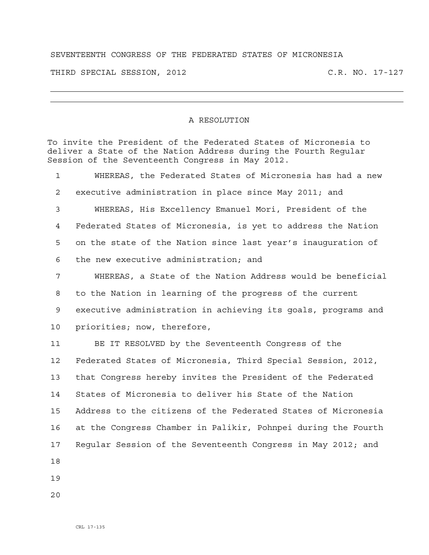## SEVENTEENTH CONGRESS OF THE FEDERATED STATES OF MICRONESIA

THIRD SPECIAL SESSION, 2012 C.R. NO. 17-127

## A RESOLUTION

To invite the President of the Federated States of Micronesia to deliver a State of the Nation Address during the Fourth Regular Session of the Seventeenth Congress in May 2012.

1 WHEREAS, the Federated States of Micronesia has had a new 2 executive administration in place since May 2011; and 3 WHEREAS, His Excellency Emanuel Mori, President of the 4 Federated States of Micronesia, is yet to address the Nation 5 on the state of the Nation since last year's inauguration of 6 the new executive administration; and 7 WHEREAS, a State of the Nation Address would be beneficial 8 to the Nation in learning of the progress of the current 9 executive administration in achieving its goals, programs and 10 priorities; now, therefore, 11 BE IT RESOLVED by the Seventeenth Congress of the 12 Federated States of Micronesia, Third Special Session, 2012, 13 that Congress hereby invites the President of the Federated 14 States of Micronesia to deliver his State of the Nation 15 Address to the citizens of the Federated States of Micronesia 16 at the Congress Chamber in Palikir, Pohnpei during the Fourth 17 Regular Session of the Seventeenth Congress in May 2012; and 18 19

20